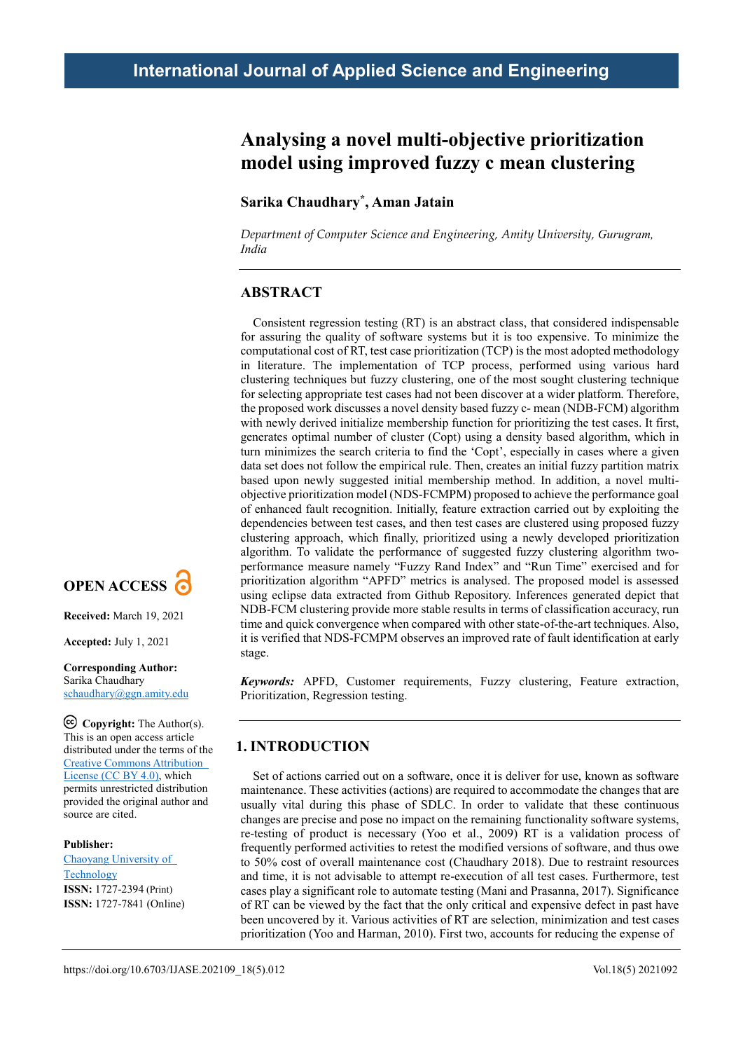# **Analysing a novel multi-objective prioritization model using improved fuzzy c mean clustering**

## **Sarika Chaudhary\*, Aman Jatain**

*Department of Computer Science and Engineering, Amity University, Gurugram, India*

## **ABSTRACT**

Consistent regression testing (RT) is an abstract class, that considered indispensable for assuring the quality of software systems but it is too expensive. To minimize the computational cost of RT, test case prioritization (TCP) is the most adopted methodology in literature. The implementation of TCP process, performed using various hard clustering techniques but fuzzy clustering, one of the most sought clustering technique for selecting appropriate test cases had not been discover at a wider platform. Therefore, the proposed work discusses a novel density based fuzzy c- mean (NDB-FCM) algorithm with newly derived initialize membership function for prioritizing the test cases. It first, generates optimal number of cluster (Copt) using a density based algorithm, which in turn minimizes the search criteria to find the 'Copt', especially in cases where a given data set does not follow the empirical rule. Then, creates an initial fuzzy partition matrix based upon newly suggested initial membership method. In addition, a novel multiobjective prioritization model (NDS-FCMPM) proposed to achieve the performance goal of enhanced fault recognition. Initially, feature extraction carried out by exploiting the dependencies between test cases, and then test cases are clustered using proposed fuzzy clustering approach, which finally, prioritized using a newly developed prioritization algorithm. To validate the performance of suggested fuzzy clustering algorithm twoperformance measure namely "Fuzzy Rand Index" and "Run Time" exercised and for prioritization algorithm "APFD" metrics is analysed. The proposed model is assessed using eclipse data extracted from Github Repository. Inferences generated depict that NDB-FCM clustering provide more stable results in terms of classification accuracy, run time and quick convergence when compared with other state-of-the-art techniques. Also, it is verified that NDS-FCMPM observes an improved rate of fault identification at early stage.

*Keywords:* APFD, Customer requirements, Fuzzy clustering, Feature extraction, Prioritization, Regression testing.

### **1. INTRODUCTION**

Set of actions carried out on a software, once it is deliver for use, known as software maintenance. These activities (actions) are required to accommodate the changes that are usually vital during this phase of SDLC. In order to validate that these continuous changes are precise and pose no impact on the remaining functionality software systems, re-testing of product is necessary (Yoo et al., 2009) RT is a validation process of frequently performed activities to retest the modified versions of software, and thus owe to 50% cost of overall maintenance cost (Chaudhary 2018). Due to restraint resources and time, it is not advisable to attempt re-execution of all test cases. Furthermore, test cases play a significant role to automate testing (Mani and Prasanna, 2017). Significance of RT can be viewed by the fact that the only critical and expensive defect in past have been uncovered by it. Various activities of RT are selection, minimization and test cases prioritization (Yoo and Harman, 2010). First two, accounts for reducing the expense of



**Received:** March 19, 2021

**Accepted:** July 1, 2021

#### **Corresponding Author:** Sarika Chaudhary schaudhary@ggn.amity.edu

**Copyright:** The Author(s). This is an open access article distributed under the terms of the [Creative Commons Attribution](https://creativecommons.org/licenses/by/4.0/deed.ast)  [License \(CC BY 4.0\),](https://creativecommons.org/licenses/by/4.0/deed.ast) which permits unrestricted distribution provided the original author and source are cited.

### **Publisher:**

[Chaoyang University of](http://web.cyut.edu.tw/index.php?Lang=en)  **[Technology](http://web.cyut.edu.tw/index.php?Lang=en) ISSN:** 1727-2394 (Print) **ISSN:** 1727-7841 (Online)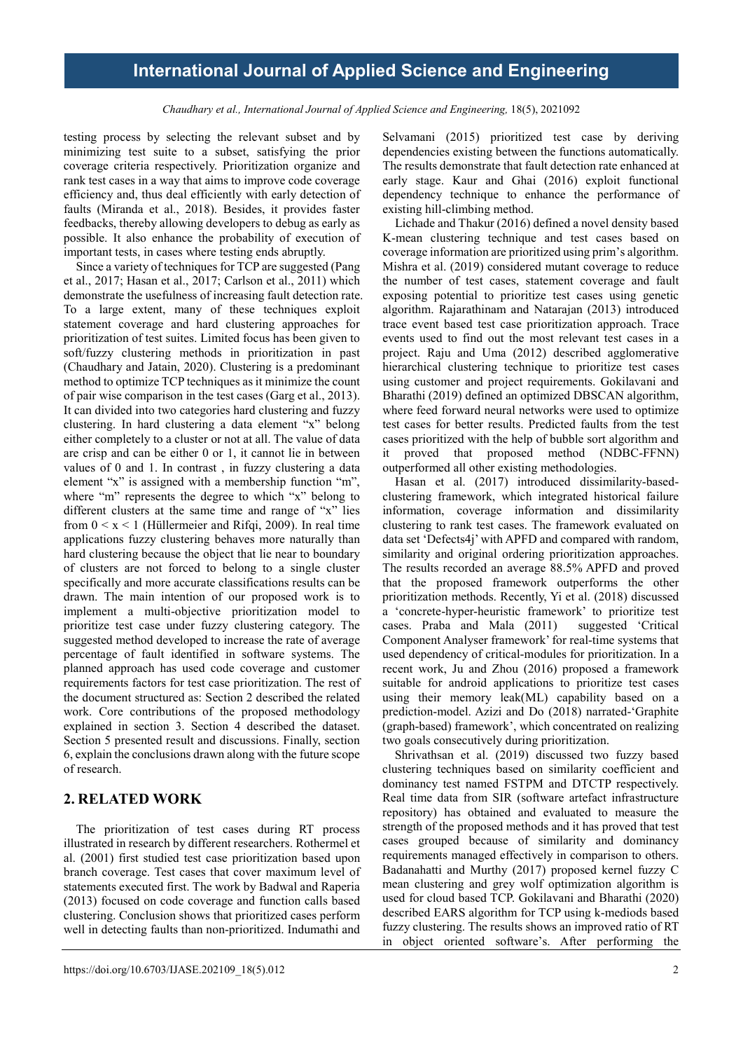*Chaudhary et al., International Journal of Applied Science and Engineering,* 18(5), 2021092

testing process by selecting the relevant subset and by minimizing test suite to a subset, satisfying the prior coverage criteria respectively. Prioritization organize and rank test cases in a way that aims to improve code coverage efficiency and, thus deal efficiently with early detection of faults (Miranda et al., 2018). Besides, it provides faster feedbacks, thereby allowing developers to debug as early as possible. It also enhance the probability of execution of important tests, in cases where testing ends abruptly.

Since a variety of techniques for TCP are suggested (Pang et al., 2017; Hasan et al., 2017; Carlson et al., 2011) which demonstrate the usefulness of increasing fault detection rate. To a large extent, many of these techniques exploit statement coverage and hard clustering approaches for prioritization of test suites. Limited focus has been given to soft/fuzzy clustering methods in prioritization in past (Chaudhary and Jatain, 2020). Clustering is a predominant method to optimize TCP techniques as it minimize the count of pair wise comparison in the test cases (Garg et al., 2013). It can divided into two categories hard clustering and fuzzy clustering. In hard clustering a data element "x" belong either completely to a cluster or not at all. The value of data are crisp and can be either 0 or 1, it cannot lie in between values of 0 and 1. In contrast , in fuzzy clustering a data element "x" is assigned with a membership function "m", where "m" represents the degree to which "x" belong to different clusters at the same time and range of "x" lies from  $0 \le x \le 1$  (Hüllermeier and Rifqi, 2009). In real time applications fuzzy clustering behaves more naturally than hard clustering because the object that lie near to boundary of clusters are not forced to belong to a single cluster specifically and more accurate classifications results can be drawn. The main intention of our proposed work is to implement a multi-objective prioritization model to prioritize test case under fuzzy clustering category. The suggested method developed to increase the rate of average percentage of fault identified in software systems. The planned approach has used code coverage and customer requirements factors for test case prioritization. The rest of the document structured as: Section 2 described the related work. Core contributions of the proposed methodology explained in section 3. Section 4 described the dataset. Section 5 presented result and discussions. Finally, section 6, explain the conclusions drawn along with the future scope of research.

## **2. RELATED WORK**

The prioritization of test cases during RT process illustrated in research by different researchers. Rothermel et al. (2001) first studied test case prioritization based upon branch coverage. Test cases that cover maximum level of statements executed first. The work by Badwal and Raperia (2013) focused on code coverage and function calls based clustering. Conclusion shows that prioritized cases perform well in detecting faults than non-prioritized. Indumathi and

Selvamani (2015) prioritized test case by deriving dependencies existing between the functions automatically. The results demonstrate that fault detection rate enhanced at early stage. Kaur and Ghai (2016) exploit functional dependency technique to enhance the performance of existing hill-climbing method.

Lichade and Thakur (2016) defined a novel density based K-mean clustering technique and test cases based on coverage information are prioritized using prim's algorithm. Mishra et al. (2019) considered mutant coverage to reduce the number of test cases, statement coverage and fault exposing potential to prioritize test cases using genetic algorithm. Rajarathinam and Natarajan (2013) introduced trace event based test case prioritization approach. Trace events used to find out the most relevant test cases in a project. Raju and Uma (2012) described agglomerative hierarchical clustering technique to prioritize test cases using customer and project requirements. Gokilavani and Bharathi (2019) defined an optimized DBSCAN algorithm, where feed forward neural networks were used to optimize test cases for better results. Predicted faults from the test cases prioritized with the help of bubble sort algorithm and it proved that proposed method (NDBC-FFNN) outperformed all other existing methodologies.

Hasan et al. (2017) introduced dissimilarity-basedclustering framework, which integrated historical failure information, coverage information and dissimilarity clustering to rank test cases. The framework evaluated on data set 'Defects4j' with APFD and compared with random, similarity and original ordering prioritization approaches. The results recorded an average 88.5% APFD and proved that the proposed framework outperforms the other prioritization methods. Recently, Yi et al. (2018) discussed a 'concrete-hyper-heuristic framework' to prioritize test cases. Praba and Mala (2011) suggested 'Critical Component Analyser framework' for real-time systems that used dependency of critical-modules for prioritization. In a recent work, Ju and Zhou (2016) proposed a framework suitable for android applications to prioritize test cases using their memory leak(ML) capability based on a prediction-model. Azizi and Do (2018) narrated-'Graphite (graph-based) framework', which concentrated on realizing two goals consecutively during prioritization.

Shrivathsan et al. (2019) discussed two fuzzy based clustering techniques based on similarity coefficient and dominancy test named FSTPM and DTCTP respectively. Real time data from SIR (software artefact infrastructure repository) has obtained and evaluated to measure the strength of the proposed methods and it has proved that test cases grouped because of similarity and dominancy requirements managed effectively in comparison to others. Badanahatti and Murthy (2017) proposed kernel fuzzy C mean clustering and grey wolf optimization algorithm is used for cloud based TCP. Gokilavani and Bharathi (2020) described EARS algorithm for TCP using k-mediods based fuzzy clustering. The results shows an improved ratio of RT in object oriented software's. After performing the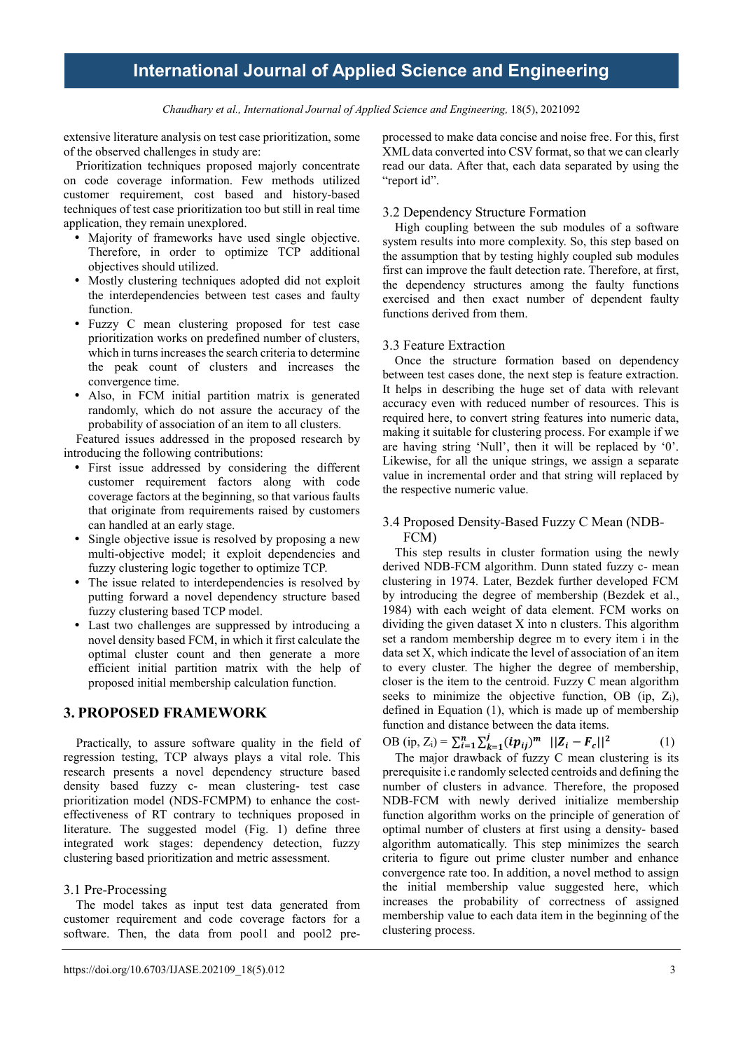*Chaudhary et al., International Journal of Applied Science and Engineering,* 18(5), 2021092

extensive literature analysis on test case prioritization, some of the observed challenges in study are:

Prioritization techniques proposed majorly concentrate on code coverage information. Few methods utilized customer requirement, cost based and history-based techniques of test case prioritization too but still in real time application, they remain unexplored.

- Majority of frameworks have used single objective. Therefore, in order to optimize TCP additional objectives should utilized.
- Mostly clustering techniques adopted did not exploit the interdependencies between test cases and faulty function.
- Fuzzy C mean clustering proposed for test case prioritization works on predefined number of clusters, which in turns increases the search criteria to determine the peak count of clusters and increases the convergence time.
- Also, in FCM initial partition matrix is generated randomly, which do not assure the accuracy of the probability of association of an item to all clusters.

Featured issues addressed in the proposed research by introducing the following contributions:

- First issue addressed by considering the different customer requirement factors along with code coverage factors at the beginning, so that various faults that originate from requirements raised by customers can handled at an early stage.
- Single objective issue is resolved by proposing a new multi-objective model; it exploit dependencies and fuzzy clustering logic together to optimize TCP.
- The issue related to interdependencies is resolved by putting forward a novel dependency structure based fuzzy clustering based TCP model.
- Last two challenges are suppressed by introducing a novel density based FCM, in which it first calculate the optimal cluster count and then generate a more efficient initial partition matrix with the help of proposed initial membership calculation function.

## **3. PROPOSED FRAMEWORK**

Practically, to assure software quality in the field of regression testing, TCP always plays a vital role. This research presents a novel dependency structure based density based fuzzy c- mean clustering- test case prioritization model (NDS-FCMPM) to enhance the costeffectiveness of RT contrary to techniques proposed in literature. The suggested model (Fig. 1) define three integrated work stages: dependency detection, fuzzy clustering based prioritization and metric assessment.

#### 3.1 Pre-Processing

The model takes as input test data generated from customer requirement and code coverage factors for a software. Then, the data from pool1 and pool2 preprocessed to make data concise and noise free. For this, first XML data converted into CSV format, so that we can clearly read our data. After that, each data separated by using the "report id".

#### 3.2 Dependency Structure Formation

High coupling between the sub modules of a software system results into more complexity. So, this step based on the assumption that by testing highly coupled sub modules first can improve the fault detection rate. Therefore, at first, the dependency structures among the faulty functions exercised and then exact number of dependent faulty functions derived from them.

### 3.3 Feature Extraction

Once the structure formation based on dependency between test cases done, the next step is feature extraction. It helps in describing the huge set of data with relevant accuracy even with reduced number of resources. This is required here, to convert string features into numeric data, making it suitable for clustering process. For example if we are having string 'Null', then it will be replaced by '0'. Likewise, for all the unique strings, we assign a separate value in incremental order and that string will replaced by the respective numeric value.

### 3.4 Proposed Density-Based Fuzzy C Mean (NDB-FCM)

This step results in cluster formation using the newly derived NDB-FCM algorithm. Dunn stated fuzzy c- mean clustering in 1974. Later, Bezdek further developed FCM by introducing the degree of membership (Bezdek et al., 1984) with each weight of data element. FCM works on dividing the given dataset X into n clusters. This algorithm set a random membership degree m to every item i in the data set X, which indicate the level of association of an item to every cluster. The higher the degree of membership, closer is the item to the centroid. Fuzzy C mean algorithm seeks to minimize the objective function, OB (ip,  $Z_i$ ), defined in Equation (1), which is made up of membership function and distance between the data items.

OB (ip,  $Z_i$ ) =  $\sum_{i=1}^{n} \sum_{k=1}^{j} (ip_{ij})^m$   $||Z_i - F_c||^2$  (1)

The major drawback of fuzzy C mean clustering is its prerequisite i.e randomly selected centroids and defining the number of clusters in advance. Therefore, the proposed NDB-FCM with newly derived initialize membership function algorithm works on the principle of generation of optimal number of clusters at first using a density- based algorithm automatically. This step minimizes the search criteria to figure out prime cluster number and enhance convergence rate too. In addition, a novel method to assign the initial membership value suggested here, which increases the probability of correctness of assigned membership value to each data item in the beginning of the clustering process.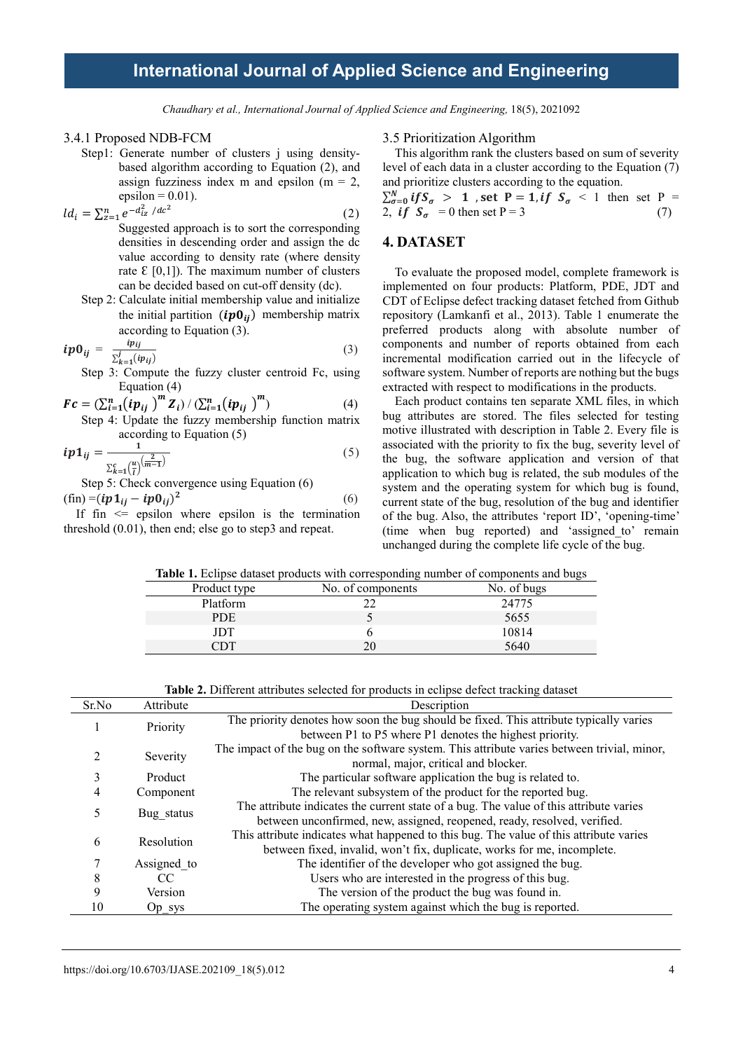*Chaudhary et al., International Journal of Applied Science and Engineering,* 18(5), 2021092

#### 3.4.1 Proposed NDB-FCM

- Step1: Generate number of clusters *j* using densitybased algorithm according to Equation (2), and assign fuzziness index m and epsilon ( $m = 2$ , epsilon  $= 0.01$ ).
- $ld_i = \sum_{z=1}^n e^{-d_{iz}^2 / dc^2}$  (2) Suggested approach is to sort the corresponding densities in descending order and assign the dc value according to density rate (where density rate  $\epsilon$  [0,1]). The maximum number of clusters can be decided based on cut-off density (dc).
	- Step 2: Calculate initial membership value and initialize the initial partition  $(ip0_{ij})$  membership matrix according to Equation (3).

$$
ip0_{ij} = \frac{ip_{ij}}{\sum_{k=1}^{j} (ip_{ij})}
$$
\n(3)

Step 3: Compute the fuzzy cluster centroid Fc, using Equation (4)

$$
\mathbf{Fc} = (\sum_{i=1}^{n} (i\mathbf{p}_{ij})^{m} \mathbf{Z}_{i}) / (\sum_{i=1}^{n} (i\mathbf{p}_{ij})^{m})
$$
(4)  
Step 4: Update the fuzzy membership function matrix

Step 4: 
$$
\frac{1}{2}
$$
 to  $\frac{1}{2}$  to Equation (5)

$$
ip1_{ij} = \frac{1}{\sum_{k=1}^{c} \left(\frac{u}{l}\right)^{\left(\frac{2}{m-1}\right)}}\tag{5}
$$

Step 5: Check convergence using Equation (6)

$$
\begin{array}{rcl}\n\text{(fin)} & = (ip1_{ij} - ip0_{ij})^2 & \text{(6)} \\
\text{If } & \text{in} <= \text{psilon} \\
\end{array}
$$

epsilon where epsilon is the termination threshold (0.01), then end; else go to step3 and repeat.

#### 3.5 Prioritization Algorithm

This algorithm rank the clusters based on sum of severity level of each data in a cluster according to the Equation (7) and prioritize clusters according to the equation.

$$
\sum_{\sigma=0}^{N} \text{if } S_{\sigma} > 1 \text{ , set } P = 1 \text{ , if } S_{\sigma} < 1 \text{ then set } P = 2 \text{, if } S_{\sigma} = 0 \text{ then set } P = 3 \tag{7}
$$

### **4. DATASET**

To evaluate the proposed model, complete framework is implemented on four products: Platform, PDE, JDT and CDT of Eclipse defect tracking dataset fetched from Github repository (Lamkanfi et al., 2013). Table 1 enumerate the preferred products along with absolute number of components and number of reports obtained from each incremental modification carried out in the lifecycle of software system. Number of reports are nothing but the bugs extracted with respect to modifications in the products.

Each product contains ten separate XML files, in which bug attributes are stored. The files selected for testing motive illustrated with description in Table 2. Every file is associated with the priority to fix the bug, severity level of the bug, the software application and version of that application to which bug is related, the sub modules of the system and the operating system for which bug is found, current state of the bug, resolution of the bug and identifier of the bug. Also, the attributes 'report ID', 'opening-time' (time when bug reported) and 'assigned\_to' remain unchanged during the complete life cycle of the bug.

**Table 1.** Eclipse dataset products with corresponding number of components and bugs

| Product type | No. of components | No. of bugs |
|--------------|-------------------|-------------|
| Platform     |                   | 24775       |
| <b>PDE</b>   |                   | 5655        |
| JDT          |                   | 10814       |
| דרר          |                   | 5640        |

|  | <b>Table 2.</b> Different attributes selected for products in eclipse defect tracking dataset |  |  |  |  |
|--|-----------------------------------------------------------------------------------------------|--|--|--|--|
|  |                                                                                               |  |  |  |  |

| Sr.No         | Attribute   | Description                                                                                 |
|---------------|-------------|---------------------------------------------------------------------------------------------|
|               | Priority    | The priority denotes how soon the bug should be fixed. This attribute typically varies      |
|               |             | between P1 to P5 where P1 denotes the highest priority.                                     |
| $\mathcal{D}$ | Severity    | The impact of the bug on the software system. This attribute varies between trivial, minor, |
|               |             | normal, major, critical and blocker.                                                        |
| 3             | Product     | The particular software application the bug is related to.                                  |
| 4             | Component   | The relevant subsystem of the product for the reported bug.                                 |
|               |             | The attribute indicates the current state of a bug. The value of this attribute varies      |
|               | Bug status  | between unconfirmed, new, assigned, reopened, ready, resolved, verified.                    |
| 6             | Resolution  | This attribute indicates what happened to this bug. The value of this attribute varies      |
|               |             | between fixed, invalid, won't fix, duplicate, works for me, incomplete.                     |
|               | Assigned to | The identifier of the developer who got assigned the bug.                                   |
| 8             | CC          | Users who are interested in the progress of this bug.                                       |
| 9             | Version     | The version of the product the bug was found in.                                            |
| 10            | Op sys      | The operating system against which the bug is reported.                                     |
|               |             |                                                                                             |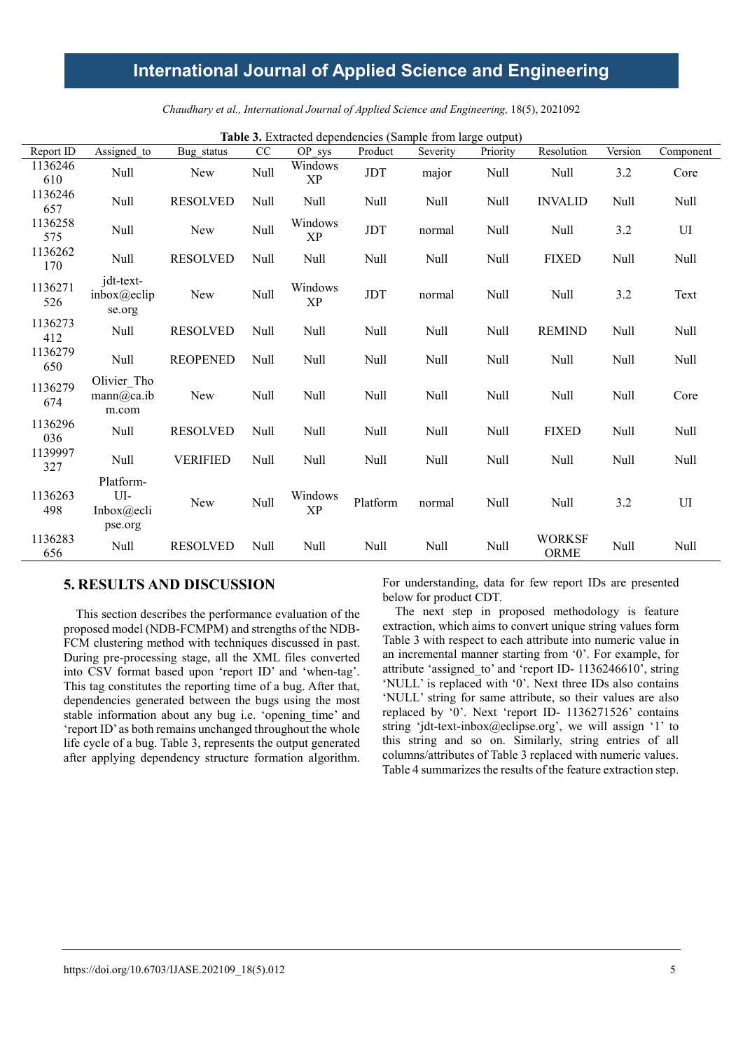|                | Table 3. Extracted dependencies (Sample from large output) |                 |      |                      |                      |          |          |                              |         |             |
|----------------|------------------------------------------------------------|-----------------|------|----------------------|----------------------|----------|----------|------------------------------|---------|-------------|
| Report ID      | Assigned to                                                | Bug status      | CC   | OP sys               | Product              | Severity | Priority | Resolution                   | Version | Component   |
| 1136246<br>610 | Null                                                       | New             | Null | Windows<br>XP        | $\operatorname{JDT}$ | major    | Null     | <b>Null</b>                  | 3.2     | Core        |
| 1136246<br>657 | Null                                                       | <b>RESOLVED</b> | Null | Null                 | Null                 | Null     | Null     | <b>INVALID</b>               | Null    | <b>Null</b> |
| 1136258<br>575 | Null                                                       | New             | Null | Windows<br>XP        | JDT                  | normal   | Null     | Null                         | 3.2     | UI          |
| 1136262<br>170 | Null                                                       | <b>RESOLVED</b> | Null | Null                 | Null                 | Null     | Null     | <b>FIXED</b>                 | Null    | Null        |
| 1136271<br>526 | jdt-text-<br>inbox@eclip<br>se.org                         | New             | Null | Windows<br><b>XP</b> | JDT                  | normal   | Null     | <b>Null</b>                  | 3.2     | Text        |
| 1136273<br>412 | Null                                                       | <b>RESOLVED</b> | Null | Null                 | Null                 | Null     | Null     | <b>REMIND</b>                | Null    | Null        |
| 1136279<br>650 | Null                                                       | <b>REOPENED</b> | Null | Null                 | Null                 | Null     | Null     | <b>Null</b>                  | Null    | <b>Null</b> |
| 1136279<br>674 | Olivier Tho<br>mann@ca.ib<br>m.com                         | <b>New</b>      | Null | Null                 | Null                 | Null     | Null     | Null                         | Null    | Core        |
| 1136296<br>036 | Null                                                       | <b>RESOLVED</b> | Null | Null                 | Null                 | Null     | Null     | <b>FIXED</b>                 | Null    | Null        |
| 1139997<br>327 | Null                                                       | <b>VERIFIED</b> | Null | Null                 | Null                 | Null     | Null     | <b>Null</b>                  | Null    | <b>Null</b> |
| 1136263<br>498 | Platform-<br>UI-<br>Inbox $@$ ecli<br>pse.org              | New             | Null | Windows<br><b>XP</b> | Platform             | normal   | Null     | Null                         | 3.2     | UI          |
| 1136283<br>656 | Null                                                       | <b>RESOLVED</b> | Null | Null                 | Null                 | Null     | Null     | <b>WORKSF</b><br><b>ORME</b> | Null    | Null        |

*Chaudhary et al., International Journal of Applied Science and Engineering,* 18(5), 2021092

## **5. RESULTS AND DISCUSSION**

This section describes the performance evaluation of the proposed model (NDB-FCMPM) and strengths of the NDB-FCM clustering method with techniques discussed in past. During pre-processing stage, all the XML files converted into CSV format based upon 'report ID' and 'when-tag'. This tag constitutes the reporting time of a bug. After that, dependencies generated between the bugs using the most stable information about any bug i.e. 'opening\_time' and 'report ID' as both remains unchanged throughout the whole life cycle of a bug. Table 3, represents the output generated after applying dependency structure formation algorithm. For understanding, data for few report IDs are presented below for product CDT.

The next step in proposed methodology is feature extraction, which aims to convert unique string values form Table 3 with respect to each attribute into numeric value in an incremental manner starting from '0'. For example, for attribute 'assigned\_to' and 'report ID- 1136246610', string 'NULL' is replaced with '0'. Next three IDs also contains 'NULL' string for same attribute, so their values are also replaced by '0'. Next 'report ID- 1136271526' contains string 'jdt-text-inbox@eclipse.org', we will assign '1' to this string and so on. Similarly, string entries of all columns/attributes of Table 3 replaced with numeric values. Table 4 summarizes the results of the feature extraction step.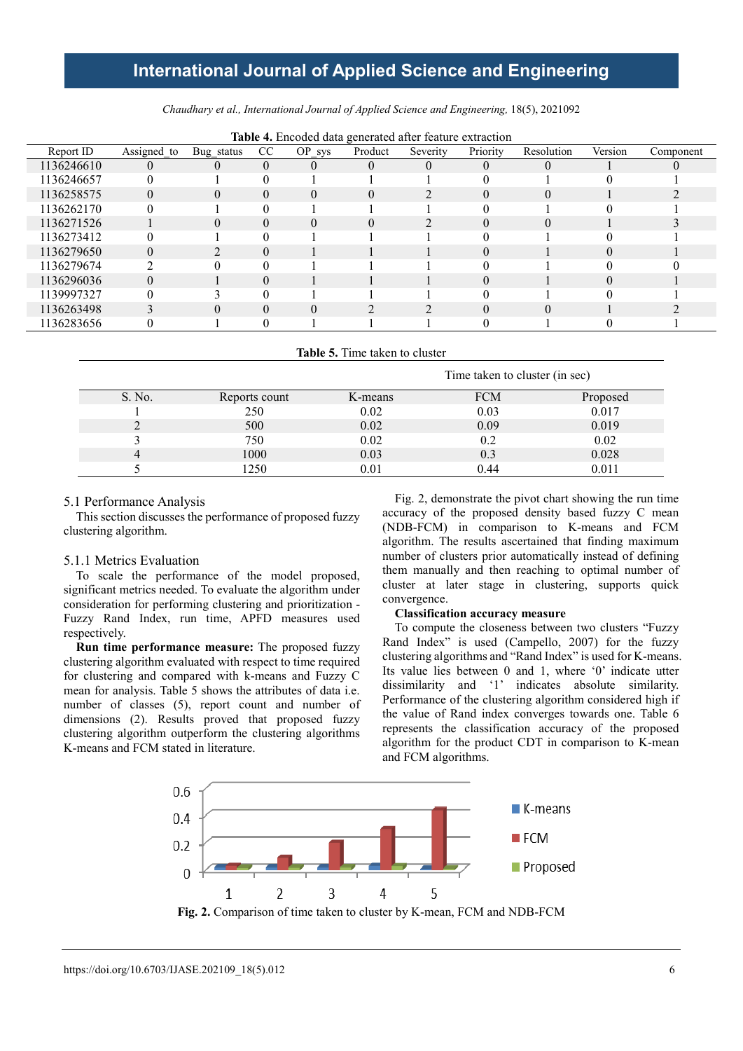*Chaudhary et al., International Journal of Applied Science and Engineering,* 18(5), 2021092

|            |             |            |    |          | $\circ$  |                |          |            |          |           |
|------------|-------------|------------|----|----------|----------|----------------|----------|------------|----------|-----------|
| Report ID  | Assigned to | Bug_status | CC | OP sys   | Product  | Severity       | Priority | Resolution | Version  | Component |
| 1136246610 |             |            | 0  | $_{0}$   |          | $\overline{0}$ | U        |            |          |           |
| 1136246657 |             |            |    |          |          |                |          |            |          |           |
| 1136258575 | $\Omega$    | 0          | 0  | $\Omega$ | $\Omega$ |                | 0        | $\theta$   |          |           |
| 1136262170 |             |            |    |          |          |                |          |            |          |           |
| 1136271526 |             | $\Omega$   | 0  | 0        | $\Omega$ |                | $\Omega$ | $\Omega$   |          |           |
| 1136273412 |             |            |    |          |          |                |          |            |          |           |
| 1136279650 | $\Omega$    |            | 0  |          |          |                | 0        |            | 0        |           |
| 1136279674 | ◠           |            |    |          |          |                |          |            |          |           |
| 1136296036 | $\Omega$    |            | 0  |          |          |                | 0        |            | $\Omega$ |           |
| 1139997327 |             |            |    |          |          |                |          |            |          |           |
| 1136263498 |             | 0          |    | 0        |          |                | 0        | $\theta$   |          |           |
| 1136283656 |             |            |    |          |          |                |          |            |          |           |
|            |             |            |    |          |          |                |          |            |          |           |

**Table 4.** Encoded data generated after feature extraction

**Table 5.** Time taken to cluster

|        |               | Time taken to cluster (in sec) |            |          |  |  |  |
|--------|---------------|--------------------------------|------------|----------|--|--|--|
| S. No. | Reports count | K-means                        | <b>FCM</b> | Proposed |  |  |  |
|        | 250           | 0.02                           | 0.03       | 0.017    |  |  |  |
|        | 500           | 0.02                           | 0.09       | 0.019    |  |  |  |
|        | 750           | 0.02                           | 0.2        | 0.02     |  |  |  |
| 4      | 1000          | 0.03                           | 0.3        | 0.028    |  |  |  |
|        | 1250          | 0.01                           | 0.44       | 0.011    |  |  |  |

### 5.1 Performance Analysis

This section discusses the performance of proposed fuzzy clustering algorithm.

#### 5.1.1 Metrics Evaluation

To scale the performance of the model proposed, significant metrics needed. To evaluate the algorithm under consideration for performing clustering and prioritization - Fuzzy Rand Index, run time, APFD measures used respectively.

**Run time performance measure:** The proposed fuzzy clustering algorithm evaluated with respect to time required for clustering and compared with k-means and Fuzzy C mean for analysis. Table 5 shows the attributes of data i.e. number of classes (5), report count and number of dimensions (2). Results proved that proposed fuzzy clustering algorithm outperform the clustering algorithms K-means and FCM stated in literature.

Fig. 2, demonstrate the pivot chart showing the run time accuracy of the proposed density based fuzzy C mean (NDB-FCM) in comparison to K-means and FCM algorithm. The results ascertained that finding maximum number of clusters prior automatically instead of defining them manually and then reaching to optimal number of cluster at later stage in clustering, supports quick convergence.

### **Classification accuracy measure**

To compute the closeness between two clusters "Fuzzy Rand Index" is used (Campello, 2007) for the fuzzy clustering algorithms and "Rand Index" is used for K-means. Its value lies between 0 and 1, where '0' indicate utter dissimilarity and '1' indicates absolute similarity. Performance of the clustering algorithm considered high if the value of Rand index converges towards one. Table 6 represents the classification accuracy of the proposed algorithm for the product CDT in comparison to K-mean and FCM algorithms.



**Fig. 2.** Comparison of time taken to cluster by K-mean, FCM and NDB-FCM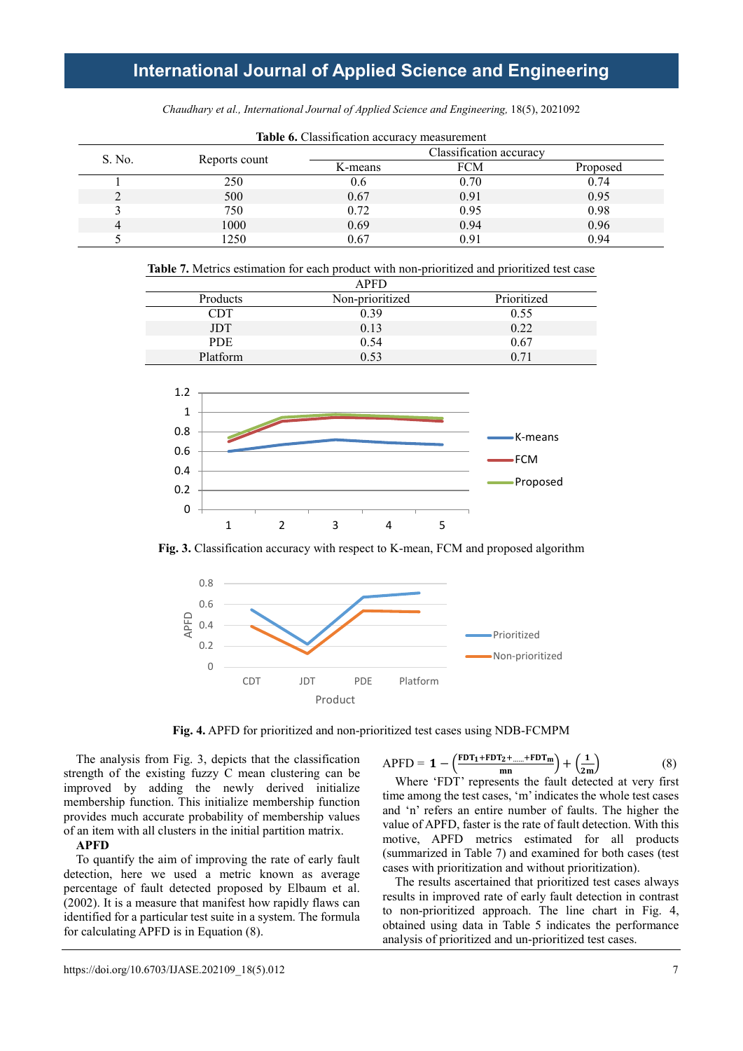|        | <b>Table 0.</b> Chassilication accuracy incasurement |         |                         |          |  |  |  |
|--------|------------------------------------------------------|---------|-------------------------|----------|--|--|--|
| S. No. |                                                      |         | Classification accuracy |          |  |  |  |
|        | Reports count                                        | K-means | FCM                     | Proposed |  |  |  |
|        | 250                                                  | 0.6     | 0.70                    | 0.74     |  |  |  |
|        | 500                                                  | 0.67    | 0.91                    | 0.95     |  |  |  |
|        | 750                                                  | 0.72    | 0.95                    | 0.98     |  |  |  |
|        | 1000                                                 | 0.69    | 0.94                    | 0.96     |  |  |  |
|        | 1250                                                 | 0.67    | 0.91                    | 0.94     |  |  |  |

**Table 6.** Classification accuracy measurement

| <b>APFD</b> |                 |             |  |  |  |  |
|-------------|-----------------|-------------|--|--|--|--|
| Products    | Non-prioritized | Prioritized |  |  |  |  |
| CDT         | 0.39            | 0.55        |  |  |  |  |
| <b>JDT</b>  | 0.13            | 0.22        |  |  |  |  |
| <b>PDE</b>  | 0.54            | 0.67        |  |  |  |  |
| Platform    | በ 53            | 0.71        |  |  |  |  |



**Fig. 3.** Classification accuracy with respect to K-mean, FCM and proposed algorithm



**Fig. 4.** APFD for prioritized and non-prioritized test cases using NDB-FCMPM

The analysis from Fig. 3, depicts that the classification strength of the existing fuzzy C mean clustering can be improved by adding the newly derived initialize membership function. This initialize membership function provides much accurate probability of membership values of an item with all clusters in the initial partition matrix.

### **APFD**

To quantify the aim of improving the rate of early fault detection, here we used a metric known as average percentage of fault detected proposed by Elbaum et al. (2002). It is a measure that manifest how rapidly flaws can identified for a particular test suite in a system. The formula for calculating APFD is in Equation (8).

$$
APFD = 1 - \left(\frac{FDT_1 + FDT_2 + \dots + FDT_m}{mn}\right) + \left(\frac{1}{2m}\right)
$$
 (8)

Where 'FDT' represents the fault detected at very first time among the test cases, 'm' indicates the whole test cases and 'n' refers an entire number of faults. The higher the value of APFD, faster is the rate of fault detection. With this motive, APFD metrics estimated for all products (summarized in Table 7) and examined for both cases (test cases with prioritization and without prioritization).

The results ascertained that prioritized test cases always results in improved rate of early fault detection in contrast to non-prioritized approach. The line chart in Fig. 4, obtained using data in Table 5 indicates the performance analysis of prioritized and un-prioritized test cases.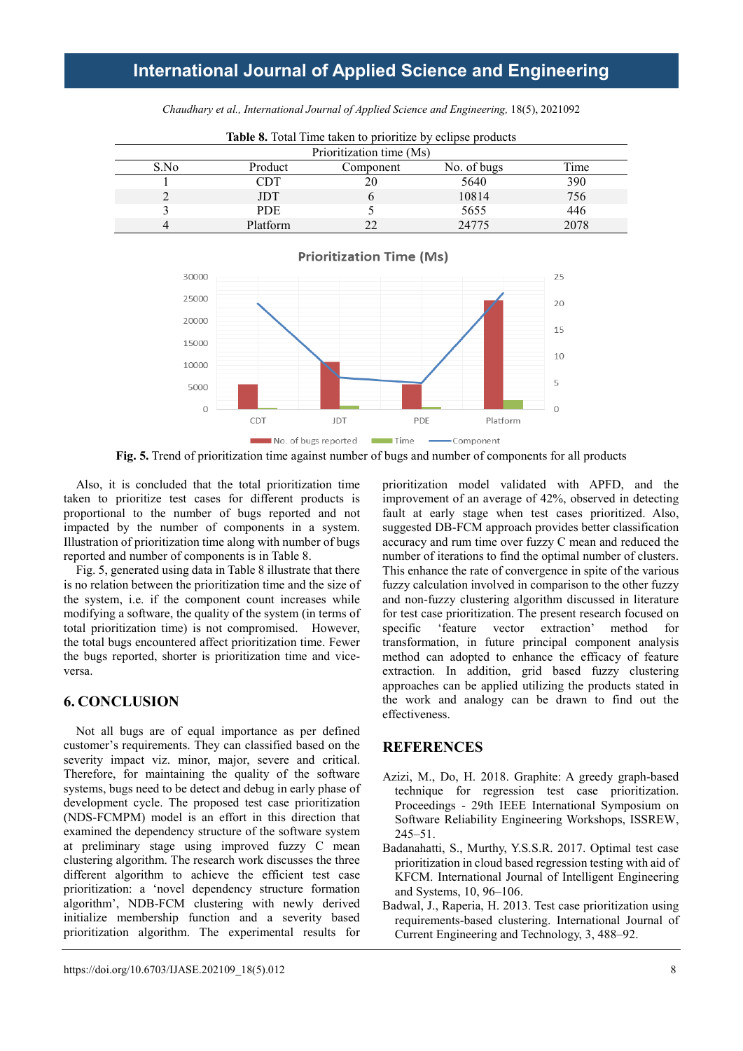| <b>Table 8.</b> Total Time taken to prioritize by eclipse products |                          |           |             |      |  |  |  |  |  |
|--------------------------------------------------------------------|--------------------------|-----------|-------------|------|--|--|--|--|--|
|                                                                    | Prioritization time (Ms) |           |             |      |  |  |  |  |  |
| S.No                                                               | Product                  | Component | No. of bugs | Time |  |  |  |  |  |
|                                                                    | CDT                      |           | 5640        | 390  |  |  |  |  |  |
|                                                                    | <b>JDT</b>               |           | 10814       | 756  |  |  |  |  |  |
|                                                                    | PDE.                     |           | 5655        | 446  |  |  |  |  |  |
|                                                                    | Platform                 |           | 24775       | 2078 |  |  |  |  |  |

*Chaudhary et al., International Journal of Applied Science and Engineering,* 18(5), 2021092



**Prioritization Time (Ms)** 



Also, it is concluded that the total prioritization time taken to prioritize test cases for different products is proportional to the number of bugs reported and not impacted by the number of components in a system. Illustration of prioritization time along with number of bugs reported and number of components is in Table 8.

Fig. 5, generated using data in Table 8 illustrate that there is no relation between the prioritization time and the size of the system, i.e. if the component count increases while modifying a software, the quality of the system (in terms of total prioritization time) is not compromised. However, the total bugs encountered affect prioritization time. Fewer the bugs reported, shorter is prioritization time and viceversa.

## **6. CONCLUSION**

Not all bugs are of equal importance as per defined customer's requirements. They can classified based on the severity impact viz. minor, major, severe and critical. Therefore, for maintaining the quality of the software systems, bugs need to be detect and debug in early phase of development cycle. The proposed test case prioritization (NDS-FCMPM) model is an effort in this direction that examined the dependency structure of the software system at preliminary stage using improved fuzzy C mean clustering algorithm. The research work discusses the three different algorithm to achieve the efficient test case prioritization: a 'novel dependency structure formation algorithm', NDB-FCM clustering with newly derived initialize membership function and a severity based prioritization algorithm. The experimental results for prioritization model validated with APFD, and the improvement of an average of 42%, observed in detecting fault at early stage when test cases prioritized. Also, suggested DB-FCM approach provides better classification accuracy and rum time over fuzzy C mean and reduced the number of iterations to find the optimal number of clusters. This enhance the rate of convergence in spite of the various fuzzy calculation involved in comparison to the other fuzzy and non-fuzzy clustering algorithm discussed in literature for test case prioritization. The present research focused on specific 'feature vector extraction' method for transformation, in future principal component analysis method can adopted to enhance the efficacy of feature extraction. In addition, grid based fuzzy clustering approaches can be applied utilizing the products stated in the work and analogy can be drawn to find out the effectiveness.

### **REFERENCES**

- Azizi, M., Do, H. 2018. Graphite: A greedy graph-based technique for regression test case prioritization. Proceedings - 29th IEEE International Symposium on Software Reliability Engineering Workshops, ISSREW, 245–51.
- Badanahatti, S., Murthy, Y.S.S.R. 2017. Optimal test case prioritization in cloud based regression testing with aid of KFCM. International Journal of Intelligent Engineering and Systems, 10, 96–106.
- Badwal, J., Raperia, H. 2013. Test case prioritization using requirements-based clustering. International Journal of Current Engineering and Technology, 3, 488–92.